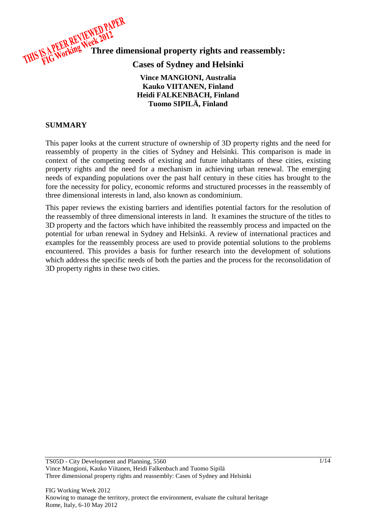

# **Cases of Sydney and Helsinki**

#### **Vince MANGIONI, Australia Kauko VIITANEN, Finland Heidi FALKENBACH, Finland Tuomo SIPILÄ, Finland**

#### **SUMMARY**

This paper looks at the current structure of ownership of 3D property rights and the need for reassembly of property in the cities of Sydney and Helsinki. This comparison is made in context of the competing needs of existing and future inhabitants of these cities, existing property rights and the need for a mechanism in achieving urban renewal. The emerging needs of expanding populations over the past half century in these cities has brought to the fore the necessity for policy, economic reforms and structured processes in the reassembly of three dimensional interests in land, also known as condominium.

This paper reviews the existing barriers and identifies potential factors for the resolution of the reassembly of three dimensional interests in land. It examines the structure of the titles to 3D property and the factors which have inhibited the reassembly process and impacted on the potential for urban renewal in Sydney and Helsinki. A review of international practices and examples for the reassembly process are used to provide potential solutions to the problems encountered. This provides a basis for further research into the development of solutions which address the specific needs of both the parties and the process for the reconsolidation of 3D property rights in these two cities.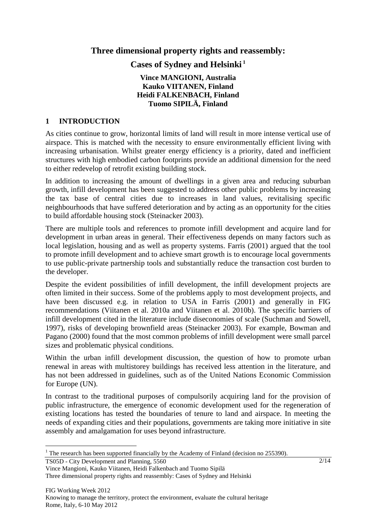**Three dimensional property rights and reassembly:** 

**Cases of Sydney and Helsinki<sup>1</sup>**

### **Vince MANGIONI, Australia Kauko VIITANEN, Finland Heidi FALKENBACH, Finland Tuomo SIPILÄ, Finland**

#### **1 INTRODUCTION**

As cities continue to grow, horizontal limits of land will result in more intense vertical use of airspace. This is matched with the necessity to ensure environmentally efficient living with increasing urbanisation. Whilst greater energy efficiency is a priority, dated and inefficient structures with high embodied carbon footprints provide an additional dimension for the need to either redevelop of retrofit existing building stock.

In addition to increasing the amount of dwellings in a given area and reducing suburban growth, infill development has been suggested to address other public problems by increasing the tax base of central cities due to increases in land values, revitalising specific neighbourhoods that have suffered deterioration and by acting as an opportunity for the cities to build affordable housing stock (Steinacker 2003).

There are multiple tools and references to promote infill development and acquire land for development in urban areas in general. Their effectiveness depends on many factors such as local legislation, housing and as well as property systems. Farris (2001) argued that the tool to promote infill development and to achieve smart growth is to encourage local governments to use public-private partnership tools and substantially reduce the transaction cost burden to the developer.

Despite the evident possibilities of infill development, the infill development projects are often limited in their success. Some of the problems apply to most development projects, and have been discussed e.g. in relation to USA in Farris (2001) and generally in FIG recommendations (Viitanen et al. 2010a and Viitanen et al. 2010b). The specific barriers of infill development cited in the literature include diseconomies of scale (Suchman and Sowell, 1997), risks of developing brownfield areas (Steinacker 2003). For example, Bowman and Pagano (2000) found that the most common problems of infill development were small parcel sizes and problematic physical conditions.

Within the urban infill development discussion, the question of how to promote urban renewal in areas with multistorey buildings has received less attention in the literature, and has not been addressed in guidelines, such as of the United Nations Economic Commission for Europe (UN).

In contrast to the traditional purposes of compulsorily acquiring land for the provision of public infrastructure, the emergence of economic development used for the regeneration of existing locations has tested the boundaries of tenure to land and airspace. In meeting the needs of expanding cities and their populations, governments are taking more initiative in site assembly and amalgamation for uses beyond infrastructure.

TS05D - City Development and Planning, 5560

 $\overline{a}$ 

<sup>&</sup>lt;sup>1</sup> The research has been supported financially by the Academy of Finland (decision no 255390).

Vince Mangioni, Kauko Viitanen, Heidi Falkenbach and Tuomo Sipilä Three dimensional property rights and reassembly: Cases of Sydney and Helsinki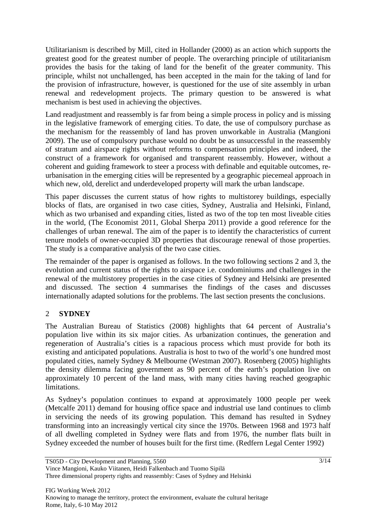Utilitarianism is described by Mill, cited in Hollander (2000) as an action which supports the greatest good for the greatest number of people. The overarching principle of utilitarianism provides the basis for the taking of land for the benefit of the greater community. This principle, whilst not unchallenged, has been accepted in the main for the taking of land for the provision of infrastructure, however, is questioned for the use of site assembly in urban renewal and redevelopment projects. The primary question to be answered is what mechanism is best used in achieving the objectives.

Land readjustment and reassembly is far from being a simple process in policy and is missing in the legislative framework of emerging cities. To date, the use of compulsory purchase as the mechanism for the reassembly of land has proven unworkable in Australia (Mangioni 2009). The use of compulsory purchase would no doubt be as unsuccessful in the reassembly of stratum and airspace rights without reforms to compensation principles and indeed, the construct of a framework for organised and transparent reassembly. However, without a coherent and guiding framework to steer a process with definable and equitable outcomes, reurbanisation in the emerging cities will be represented by a geographic piecemeal approach in which new, old, derelict and underdeveloped property will mark the urban landscape.

This paper discusses the current status of how rights to multistorey buildings, especially blocks of flats, are organised in two case cities, Sydney, Australia and Helsinki, Finland, which as two urbanised and expanding cities, listed as two of the top ten most liveable cities in the world, (The Economist 2011, Global Sherpa 2011) provide a good reference for the challenges of urban renewal. The aim of the paper is to identify the characteristics of current tenure models of owner-occupied 3D properties that discourage renewal of those properties. The study is a comparative analysis of the two case cities.

The remainder of the paper is organised as follows. In the two following sections 2 and 3, the evolution and current status of the rights to airspace i.e. condominiums and challenges in the renewal of the multistorey properties in the case cities of Sydney and Helsinki are presented and discussed. The section 4 summarises the findings of the cases and discusses internationally adapted solutions for the problems. The last section presents the conclusions.

## 2 **SYDNEY**

The Australian Bureau of Statistics (2008) highlights that 64 percent of Australia's population live within its six major cities. As urbanization continues, the generation and regeneration of Australia's cities is a rapacious process which must provide for both its existing and anticipated populations. Australia is host to two of the world's one hundred most populated cities, namely Sydney & Melbourne (Westman 2007). Rosenberg (2005) highlights the density dilemma facing government as 90 percent of the earth's population live on approximately 10 percent of the land mass, with many cities having reached geographic limitations.

As Sydney's population continues to expand at approximately 1000 people per week (Metcalfe 2011) demand for housing office space and industrial use land continues to climb in servicing the needs of its growing population. This demand has resulted in Sydney transforming into an increasingly vertical city since the 1970s. Between 1968 and 1973 half of all dwelling completed in Sydney were flats and from 1976, the number flats built in Sydney exceeded the number of houses built for the first time. (Redfern Legal Center 1992)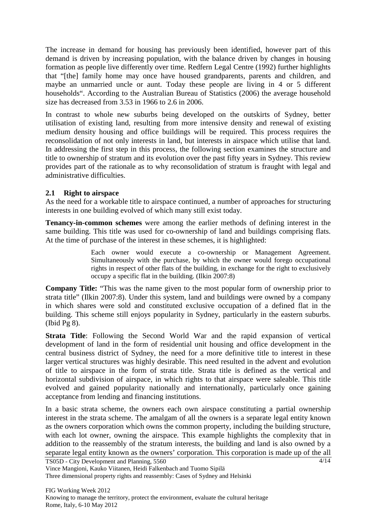The increase in demand for housing has previously been identified, however part of this demand is driven by increasing population, with the balance driven by changes in housing formation as people live differently over time. Redfern Legal Centre (1992) further highlights that "[the] family home may once have housed grandparents, parents and children, and maybe an unmarried uncle or aunt. Today these people are living in 4 or 5 different households". According to the Australian Bureau of Statistics (2006) the average household size has decreased from 3.53 in 1966 to 2.6 in 2006.

In contrast to whole new suburbs being developed on the outskirts of Sydney, better utilisation of existing land, resulting from more intensive density and renewal of existing medium density housing and office buildings will be required. This process requires the reconsolidation of not only interests in land, but interests in airspace which utilise that land. In addressing the first step in this process, the following section examines the structure and title to ownership of stratum and its evolution over the past fifty years in Sydney. This review provides part of the rationale as to why reconsolidation of stratum is fraught with legal and administrative difficulties.

#### **2.1 Right to airspace**

As the need for a workable title to airspace continued, a number of approaches for structuring interests in one building evolved of which many still exist today.

**Tenancy-in-common schemes** were among the earlier methods of defining interest in the same building. This title was used for co-ownership of land and buildings comprising flats. At the time of purchase of the interest in these schemes, it is highlighted:

> Each owner would execute a co-ownership or Management Agreement. Simultaneously with the purchase, by which the owner would forego occupational rights in respect of other flats of the building, in exchange for the right to exclusively occupy a specific flat in the building. (Ilkin 2007:8)

**Company Title:** "This was the name given to the most popular form of ownership prior to strata title" (Ilkin 2007:8). Under this system, land and buildings were owned by a company in which shares were sold and constituted exclusive occupation of a defined flat in the building. This scheme still enjoys popularity in Sydney, particularly in the eastern suburbs. (Ibid Pg 8).

**Strata Title**: Following the Second World War and the rapid expansion of vertical development of land in the form of residential unit housing and office development in the central business district of Sydney, the need for a more definitive title to interest in these larger vertical structures was highly desirable. This need resulted in the advent and evolution of title to airspace in the form of strata title. Strata title is defined as the vertical and horizontal subdivision of airspace, in which rights to that airspace were saleable. This title evolved and gained popularity nationally and internationally, particularly once gaining acceptance from lending and financing institutions.

In a basic strata scheme, the owners each own airspace constituting a partial ownership interest in the strata scheme. The amalgam of all the owners is a separate legal entity known as the owners corporation which owns the common property, including the building structure, with each lot owner, owning the airspace. This example highlights the complexity that in addition to the reassembly of the stratum interests, the building and land is also owned by a separate legal entity known as the owners' corporation. This corporation is made up of the all

Vince Mangioni, Kauko Viitanen, Heidi Falkenbach and Tuomo Sipilä

Three dimensional property rights and reassembly: Cases of Sydney and Helsinki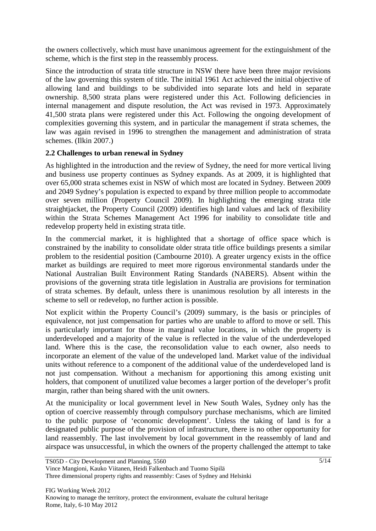the owners collectively, which must have unanimous agreement for the extinguishment of the scheme, which is the first step in the reassembly process.

Since the introduction of strata title structure in NSW there have been three major revisions of the law governing this system of title. The initial 1961 Act achieved the initial objective of allowing land and buildings to be subdivided into separate lots and held in separate ownership. 8,500 strata plans were registered under this Act. Following deficiencies in internal management and dispute resolution, the Act was revised in 1973. Approximately 41,500 strata plans were registered under this Act. Following the ongoing development of complexities governing this system, and in particular the management if strata schemes, the law was again revised in 1996 to strengthen the management and administration of strata schemes. (Ilkin 2007.)

#### **2.2 Challenges to urban renewal in Sydney**

As highlighted in the introduction and the review of Sydney, the need for more vertical living and business use property continues as Sydney expands. As at 2009, it is highlighted that over 65,000 strata schemes exist in NSW of which most are located in Sydney. Between 2009 and 2049 Sydney's population is expected to expand by three million people to accommodate over seven million (Property Council 2009). In highlighting the emerging strata title straightjacket, the Property Council (2009) identifies high land values and lack of flexibility within the Strata Schemes Management Act 1996 for inability to consolidate title and redevelop property held in existing strata title.

In the commercial market, it is highlighted that a shortage of office space which is constrained by the inability to consolidate older strata title office buildings presents a similar problem to the residential position (Cambourne 2010). A greater urgency exists in the office market as buildings are required to meet more rigorous environmental standards under the National Australian Built Environment Rating Standards (NABERS). Absent within the provisions of the governing strata title legislation in Australia are provisions for termination of strata schemes. By default, unless there is unanimous resolution by all interests in the scheme to sell or redevelop, no further action is possible.

Not explicit within the Property Council's (2009) summary, is the basis or principles of equivalence, not just compensation for parties who are unable to afford to move or sell. This is particularly important for those in marginal value locations, in which the property is underdeveloped and a majority of the value is reflected in the value of the underdeveloped land. Where this is the case, the reconsolidation value to each owner, also needs to incorporate an element of the value of the undeveloped land. Market value of the individual units without reference to a component of the additional value of the underdeveloped land is not just compensation. Without a mechanism for apportioning this among existing unit holders, that component of unutilized value becomes a larger portion of the developer's profit margin, rather than being shared with the unit owners.

At the municipality or local government level in New South Wales, Sydney only has the option of coercive reassembly through compulsory purchase mechanisms, which are limited to the public purpose of 'economic development'. Unless the taking of land is for a designated public purpose of the provision of infrastructure, there is no other opportunity for land reassembly. The last involvement by local government in the reassembly of land and airspace was unsuccessful, in which the owners of the property challenged the attempt to take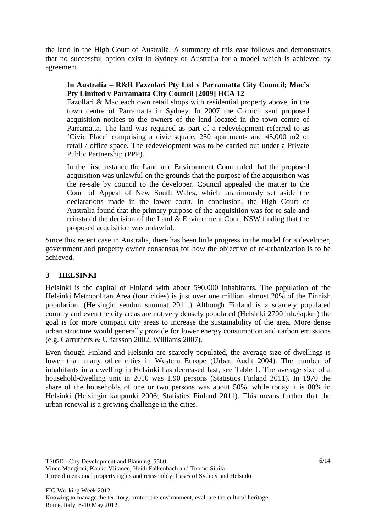the land in the High Court of Australia. A summary of this case follows and demonstrates that no successful option exist in Sydney or Australia for a model which is achieved by agreement.

#### **In Australia – R&R Fazzolari Pty Ltd v Parramatta City Council; Mac's Pty Limited v Parramatta City Council [2009] HCA 12**

Fazollari & Mac each own retail shops with residential property above, in the town centre of Parramatta in Sydney. In 2007 the Council sent proposed acquisition notices to the owners of the land located in the town centre of Parramatta. The land was required as part of a redevelopment referred to as 'Civic Place' comprising a civic square, 250 apartments and 45,000 m2 of retail / office space. The redevelopment was to be carried out under a Private Public Partnership (PPP).

In the first instance the Land and Environment Court ruled that the proposed acquisition was unlawful on the grounds that the purpose of the acquisition was the re-sale by council to the developer. Council appealed the matter to the Court of Appeal of New South Wales, which unanimously set aside the declarations made in the lower court. In conclusion, the High Court of Australia found that the primary purpose of the acquisition was for re-sale and reinstated the decision of the Land & Environment Court NSW finding that the proposed acquisition was unlawful.

Since this recent case in Australia, there has been little progress in the model for a developer, government and property owner consensus for how the objective of re-urbanization is to be achieved.

## **3 HELSINKI**

Helsinki is the capital of Finland with about 590.000 inhabitants. The population of the Helsinki Metropolitan Area (four cities) is just over one million, almost 20% of the Finnish population. (Helsingin seudun suunnat 2011.) Although Finland is a scarcely populated country and even the city areas are not very densely populated (Helsinki 2700 inh./sq.km) the goal is for more compact city areas to increase the sustainability of the area. More dense urban structure would generally provide for lower energy consumption and carbon emissions (e.g. Carruthers & Ulfarsson 2002; Williams 2007).

Even though Finland and Helsinki are scarcely-populated, the average size of dwellings is lower than many other cities in Western Europe (Urban Audit 2004). The number of inhabitants in a dwelling in Helsinki has decreased fast, see Table 1. The average size of a household-dwelling unit in 2010 was 1.90 persons (Statistics Finland 2011). In 1970 the share of the households of one or two persons was about 50%, while today it is 80% in Helsinki (Helsingin kaupunki 2006; Statistics Finland 2011). This means further that the urban renewal is a growing challenge in the cities.

Vince Mangioni, Kauko Viitanen, Heidi Falkenbach and Tuomo Sipilä Three dimensional property rights and reassembly: Cases of Sydney and Helsinki

TS05D - City Development and Planning, 5560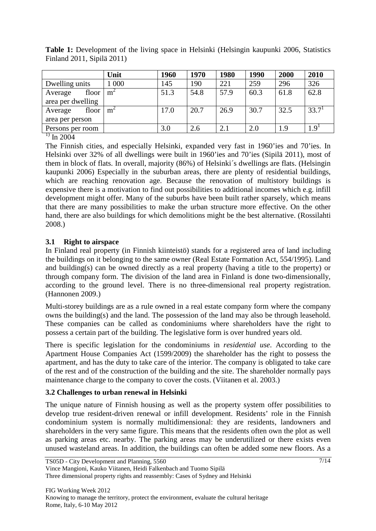|                               | Unit  | 1960 | 1970 | 1980 | 1990 | 2000 | 2010      |
|-------------------------------|-------|------|------|------|------|------|-----------|
| Dwelling units                | 1 000 | 145  | 190  | 221  | 259  | 296  | 326       |
| floor  <br>Average            | $m^2$ | 51.3 | 54.8 | 57.9 | 60.3 | 61.8 | 62.8      |
| area per dwelling             |       |      |      |      |      |      |           |
| floor<br>Average              | $m^2$ | 17.0 | 20.7 | 26.9 | 30.7 | 32.5 | 33.7      |
| area per person               |       |      |      |      |      |      |           |
| Persons per room              |       | 3.0  | 2.6  | 2.1  | 2.0  | 1.9  | $1.9^{1}$ |
| $\mathbf{1}$ and $\mathbf{1}$ |       |      |      |      |      |      |           |

**Table 1:** Development of the living space in Helsinki (Helsingin kaupunki 2006, Statistics Finland 2011, Sipilä 2011)

 $^{1)}$  In 2004

The Finnish cities, and especially Helsinki, expanded very fast in 1960'ies and 70'ies. In Helsinki over 32% of all dwellings were built in 1960'ies and 70'ies (Sipilä 2011), most of them in block of flats. In overall, majority (86%) of Helsinki´s dwellings are flats. (Helsingin kaupunki 2006) Especially in the suburban areas, there are plenty of residential buildings, which are reaching renovation age. Because the renovation of multistory buildings is expensive there is a motivation to find out possibilities to additional incomes which e.g. infill development might offer. Many of the suburbs have been built rather sparsely, which means that there are many possibilities to make the urban structure more effective. On the other hand, there are also buildings for which demolitions might be the best alternative. (Rossilahti 2008.)

## **3.1 Right to airspace**

In Finland real property (in Finnish kiinteistö) stands for a registered area of land including the buildings on it belonging to the same owner (Real Estate Formation Act, 554/1995). Land and building(s) can be owned directly as a real property (having a title to the property) or through company form. The division of the land area in Finland is done two-dimensionally, according to the ground level. There is no three-dimensional real property registration. (Hannonen 2009.)

Multi-storey buildings are as a rule owned in a real estate company form where the company owns the building(s) and the land. The possession of the land may also be through leasehold. These companies can be called as condominiums where shareholders have the right to possess a certain part of the building. The legislative form is over hundred years old.

There is specific legislation for the condominiums in *residential use*. According to the Apartment House Companies Act (1599/2009) the shareholder has the right to possess the apartment, and has the duty to take care of the interior. The company is obligated to take care of the rest and of the construction of the building and the site. The shareholder normally pays maintenance charge to the company to cover the costs. (Viitanen et al. 2003.)

## **3.2 Challenges to urban renewal in Helsinki**

The unique nature of Finnish housing as well as the property system offer possibilities to develop true resident-driven renewal or infill development. Residents' role in the Finnish condominium system is normally multidimensional: they are residents, landowners and shareholders in the very same figure. This means that the residents often own the plot as well as parking areas etc. nearby. The parking areas may be underutilized or there exists even unused wasteland areas. In addition, the buildings can often be added some new floors. As a

Vince Mangioni, Kauko Viitanen, Heidi Falkenbach and Tuomo Sipilä

Three dimensional property rights and reassembly: Cases of Sydney and Helsinki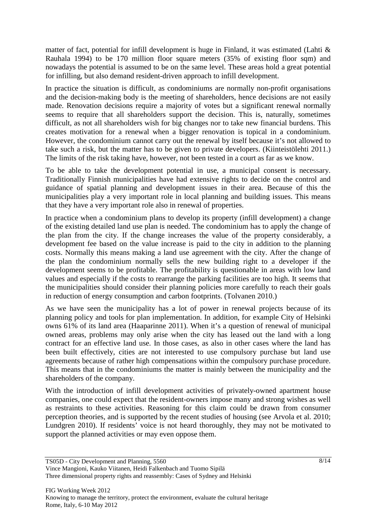matter of fact, potential for infill development is huge in Finland, it was estimated (Lahti  $\&$ Rauhala 1994) to be 170 million floor square meters (35% of existing floor sqm) and nowadays the potential is assumed to be on the same level. These areas hold a great potential for infilling, but also demand resident-driven approach to infill development.

In practice the situation is difficult, as condominiums are normally non-profit organisations and the decision-making body is the meeting of shareholders, hence decisions are not easily made. Renovation decisions require a majority of votes but a significant renewal normally seems to require that all shareholders support the decision. This is, naturally, sometimes difficult, as not all shareholders wish for big changes nor to take new financial burdens. This creates motivation for a renewal when a bigger renovation is topical in a condominium. However, the condominium cannot carry out the renewal by itself because it's not allowed to take such a risk, but the matter has to be given to private developers. (Kiinteistölehti 2011.) The limits of the risk taking have, however, not been tested in a court as far as we know.

To be able to take the development potential in use, a municipal consent is necessary. Traditionally Finnish municipalities have had extensive rights to decide on the control and guidance of spatial planning and development issues in their area. Because of this the municipalities play a very important role in local planning and building issues. This means that they have a very important role also in renewal of properties.

In practice when a condominium plans to develop its property (infill development) a change of the existing detailed land use plan is needed. The condominium has to apply the change of the plan from the city. If the change increases the value of the property considerably, a development fee based on the value increase is paid to the city in addition to the planning costs. Normally this means making a land use agreement with the city. After the change of the plan the condominium normally sells the new building right to a developer if the development seems to be profitable. The profitability is questionable in areas with low land values and especially if the costs to rearrange the parking facilities are too high. It seems that the municipalities should consider their planning policies more carefully to reach their goals in reduction of energy consumption and carbon footprints. (Tolvanen 2010.)

As we have seen the municipality has a lot of power in renewal projects because of its planning policy and tools for plan implementation. In addition, for example City of Helsinki owns 61% of its land area (Haaparinne 2011). When it's a question of renewal of municipal owned areas, problems may only arise when the city has leased out the land with a long contract for an effective land use. In those cases, as also in other cases where the land has been built effectively, cities are not interested to use compulsory purchase but land use agreements because of rather high compensations within the compulsory purchase procedure. This means that in the condominiums the matter is mainly between the municipality and the shareholders of the company.

With the introduction of infill development activities of privately-owned apartment house companies, one could expect that the resident-owners impose many and strong wishes as well as restraints to these activities. Reasoning for this claim could be drawn from consumer perception theories, and is supported by the recent studies of housing (see Arvola et al. 2010; Lundgren 2010). If residents' voice is not heard thoroughly, they may not be motivated to support the planned activities or may even oppose them.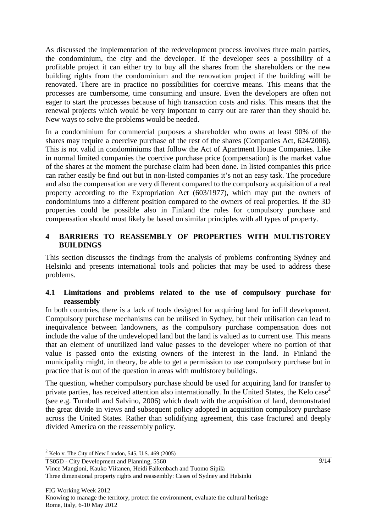As discussed the implementation of the redevelopment process involves three main parties, the condominium, the city and the developer. If the developer sees a possibility of a profitable project it can either try to buy all the shares from the shareholders or the new building rights from the condominium and the renovation project if the building will be renovated. There are in practice no possibilities for coercive means. This means that the processes are cumbersome, time consuming and unsure. Even the developers are often not eager to start the processes because of high transaction costs and risks. This means that the renewal projects which would be very important to carry out are rarer than they should be. New ways to solve the problems would be needed.

In a condominium for commercial purposes a shareholder who owns at least 90% of the shares may require a coercive purchase of the rest of the shares (Companies Act, 624/2006). This is not valid in condominiums that follow the Act of Apartment House Companies. Like in normal limited companies the coercive purchase price (compensation) is the market value of the shares at the moment the purchase claim had been done. In listed companies this price can rather easily be find out but in non-listed companies it's not an easy task. The procedure and also the compensation are very different compared to the compulsory acquisition of a real property according to the Expropriation Act (603/1977), which may put the owners of condominiums into a different position compared to the owners of real properties. If the 3D properties could be possible also in Finland the rules for compulsory purchase and compensation should most likely be based on similar principles with all types of property.

#### **4 BARRIERS TO REASSEMBLY OF PROPERTIES WITH MULTISTOREY BUILDINGS**

This section discusses the findings from the analysis of problems confronting Sydney and Helsinki and presents international tools and policies that may be used to address these problems.

#### **4.1 Limitations and problems related to the use of compulsory purchase for reassembly**

In both countries, there is a lack of tools designed for acquiring land for infill development. Compulsory purchase mechanisms can be utilised in Sydney, but their utilisation can lead to inequivalence between landowners, as the compulsory purchase compensation does not include the value of the undeveloped land but the land is valued as to current use. This means that an element of unutilized land value passes to the developer where no portion of that value is passed onto the existing owners of the interest in the land. In Finland the municipality might, in theory, be able to get a permission to use compulsory purchase but in practice that is out of the question in areas with multistorey buildings.

The question, whether compulsory purchase should be used for acquiring land for transfer to private parties, has received attention also internationally. In the United States, the Kelo case<sup>2</sup> (see e.g. Turnbull and Salvino, 2006) which dealt with the acquisition of land, demonstrated the great divide in views and subsequent policy adopted in acquisition compulsory purchase across the United States. Rather than solidifying agreement, this case fractured and deeply divided America on the reassembly policy.

TS05D - City Development and Planning, 5560

 $\overline{a}$ 

 $2$  Kelo v. The City of New London, 545, U.S. 469 (2005)

Vince Mangioni, Kauko Viitanen, Heidi Falkenbach and Tuomo Sipilä Three dimensional property rights and reassembly: Cases of Sydney and Helsinki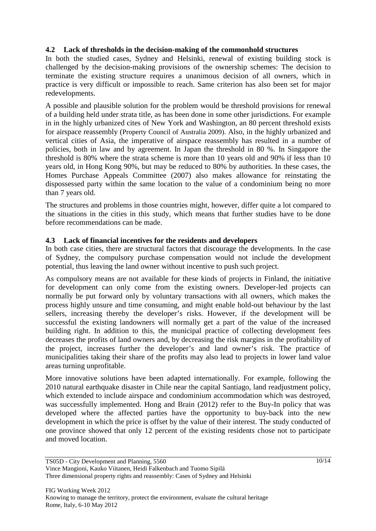#### **4.2 Lack of thresholds in the decision-making of the commonhold structures**

In both the studied cases, Sydney and Helsinki, renewal of existing building stock is challenged by the decision-making provisions of the ownership schemes: The decision to terminate the existing structure requires a unanimous decision of all owners, which in practice is very difficult or impossible to reach. Same criterion has also been set for major redevelopments.

A possible and plausible solution for the problem would be threshold provisions for renewal of a building held under strata title, as has been done in some other jurisdictions. For example in in the highly urbanized cites of New York and Washington, an 80 percent threshold exists for airspace reassembly (Property Council of Australia 2009). Also, in the highly urbanized and vertical cities of Asia, the imperative of airspace reassembly has resulted in a number of policies, both in law and by agreement. In Japan the threshold in 80 %. In Singapore the threshold is 80% where the strata scheme is more than 10 years old and 90% if less than 10 years old, in Hong Kong 90%, but may be reduced to 80% by authorities. In these cases, the Homes Purchase Appeals Committee (2007) also makes allowance for reinstating the dispossessed party within the same location to the value of a condominium being no more than 7 years old.

The structures and problems in those countries might, however, differ quite a lot compared to the situations in the cities in this study, which means that further studies have to be done before recommendations can be made.

#### **4.3 Lack of financial incentives for the residents and developers**

In both case cities, there are structural factors that discourage the developments. In the case of Sydney, the compulsory purchase compensation would not include the development potential, thus leaving the land owner without incentive to push such project.

As compulsory means are not available for these kinds of projects in Finland, the initiative for development can only come from the existing owners. Developer-led projects can normally be put forward only by voluntary transactions with all owners, which makes the process highly unsure and time consuming, and might enable hold-out behaviour by the last sellers, increasing thereby the developer's risks. However, if the development will be successful the existing landowners will normally get a part of the value of the increased building right. In addition to this, the municipal practice of collecting development fees decreases the profits of land owners and, by decreasing the risk margins in the profitability of the project, increases further the developer's and land owner's risk. The practice of municipalities taking their share of the profits may also lead to projects in lower land value areas turning unprofitable.

More innovative solutions have been adapted internationally. For example, following the 2010 natural earthquake disaster in Chile near the capital Santiago, land readjustment policy, which extended to include airspace and condominium accommodation which was destroyed, was successfully implemented. Hong and Brain (2012) refer to the Buy-In policy that was developed where the affected parties have the opportunity to buy-back into the new development in which the price is offset by the value of their interest. The study conducted of one province showed that only 12 percent of the existing residents chose not to participate and moved location.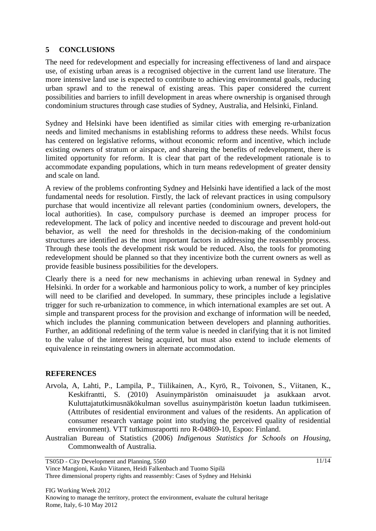#### **5 CONCLUSIONS**

The need for redevelopment and especially for increasing effectiveness of land and airspace use, of existing urban areas is a recognised objective in the current land use literature. The more intensive land use is expected to contribute to achieving environmental goals, reducing urban sprawl and to the renewal of existing areas. This paper considered the current possibilities and barriers to infill development in areas where ownership is organised through condominium structures through case studies of Sydney, Australia, and Helsinki, Finland.

Sydney and Helsinki have been identified as similar cities with emerging re-urbanization needs and limited mechanisms in establishing reforms to address these needs. Whilst focus has centered on legislative reforms, without economic reform and incentive, which include existing owners of stratum or airspace, and shareing the benefits of redevelopment, there is limited opportunity for reform. It is clear that part of the redevelopment rationale is to accommodate expanding populations, which in turn means redevelopment of greater density and scale on land.

A review of the problems confronting Sydney and Helsinki have identified a lack of the most fundamental needs for resolution. Firstly, the lack of relevant practices in using compulsory purchase that would incentivize all relevant parties (condominium owners, developers, the local authorities). In case, compulsory purchase is deemed an improper process for redevelopment. The lack of policy and incentive needed to discourage and prevent hold-out behavior, as well the need for thresholds in the decision-making of the condominium structures are identified as the most important factors in addressing the reassembly process. Through these tools the development risk would be reduced. Also, the tools for promoting redevelopment should be planned so that they incentivize both the current owners as well as provide feasible business possibilities for the developers.

Clearly there is a need for new mechanisms in achieving urban renewal in Sydney and Helsinki. In order for a workable and harmonious policy to work, a number of key principles will need to be clarified and developed. In summary, these principles include a legislative trigger for such re-urbanization to commence, in which international examples are set out. A simple and transparent process for the provision and exchange of information will be needed, which includes the planning communication between developers and planning authorities. Further, an additional redefining of the term value is needed in clarifying that it is not limited to the value of the interest being acquired, but must also extend to include elements of equivalence in reinstating owners in alternate accommodation.

#### **REFERENCES**

- Arvola, A, Lahti, P., Lampila, P., Tiilikainen, A., Kyrö, R., Toivonen, S., Viitanen, K., Keskifrantti, S. (2010) Asuinympäristön ominaisuudet ja asukkaan arvot. Kuluttajatutkimusnäkökulman sovellus asuinympäristön koetun laadun tutkimiseen. (Attributes of residential environment and values of the residents. An application of consumer research vantage point into studying the perceived quality of residential environment). VTT tutkimusraportti nro R-04869-10, Espoo: Finland.
- Australian Bureau of Statistics (2006) *Indigenous Statistics for Schools on Housing*, Commonwealth of Australia.

TS05D - City Development and Planning, 5560

Vince Mangioni, Kauko Viitanen, Heidi Falkenbach and Tuomo Sipilä Three dimensional property rights and reassembly: Cases of Sydney and Helsinki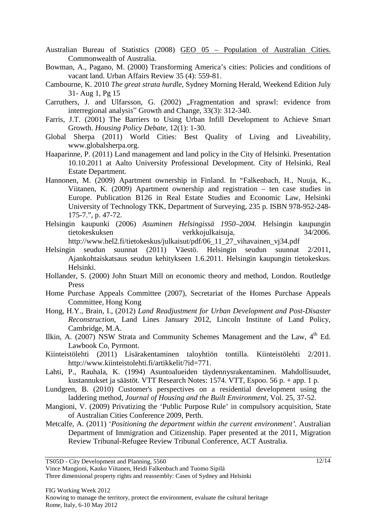- Australian Bureau of Statistics (2008) GEO 05 Population of Australian Cities. Commonwealth of Australia.
- Bowman, A., Pagano, M. (2000) Transforming America's cities: Policies and conditions of vacant land. Urban Affairs Review 35 (4): 559-81.
- Cambourne, K. 2010 *The great strata hurdle*, Sydney Morning Herald, Weekend Edition July 31- Aug 1, Pg 15
- Carruthers, J. and Ulfarsson, G. (2002) "Fragmentation and sprawl: evidence from interregional analysis" Growth and Change, 33(3): 312-340.
- Farris, J.T. (2001) The Barriers to Using Urban Infill Development to Achieve Smart Growth. *Housing Policy Debate*, 12(1): 1-30.
- Global Sherpa (2011) World Cities: Best Quality of Living and Liveability, www.globalsherpa.org.
- Haaparinne, P. (2011) Land management and land policy in the City of Helsinki. Presentation 10.10.2011 at Aalto University Professional Development. City of Helsinki, Real Estate Department.
- Hannonen, M. (2009) Apartment ownership in Finland. In "Falkenbach, H., Nuuja, K., Viitanen, K. (2009) Apartment ownership and registration – ten case studies in Europe. Publication B126 in Real Estate Studies and Economic Law, Helsinki University of Technology TKK, Department of Surveying, 235 p. ISBN 978-952-248- 175-7.", p. 47-72.
- Helsingin kaupunki (2006) *Asuminen Helsingissä 1950–2004.* Helsingin kaupungin tietokeskuksen verkkojulkaisuja, 34/2006.
	- http://www.hel2.fi/tietokeskus/julkaisut/pdf/06\_11\_27\_vihavainen\_vj34.pdf
- Helsingin seudun suunnat (2011) Väestö. Helsingin seudun suunnat 2/2011, Ajankohtaiskatsaus seudun kehitykseen 1.6.2011. Helsingin kaupungin tietokeskus. Helsinki.
- Hollander, S. (2000) John Stuart Mill on economic theory and method, London. Routledge Press
- Home Purchase Appeals Committee (2007), Secretariat of the Homes Purchase Appeals Committee, Hong Kong
- Hong, H.Y., Brain, I., (2012) *Land Readjustment for Urban Development and Post-Disaster Reconstruction*, Land Lines January 2012, Lincoln Institute of Land Policy, Cambridge, M.A.
- Ilkin, A. (2007) NSW Strata and Community Schemes Management and the Law, 4<sup>th</sup> Ed. Lawbook Co, Pyrmont.
- Kiinteistölehti (2011) Lisärakentaminen taloyhtiön tontilla. Kiinteistölehti 2/2011. http://www.kiinteistolehti.fi/artikkelit/?id=771.
- Lahti, P., Rauhala, K. (1994) Asuntoalueiden täydennysrakentaminen. Mahdollisuudet, kustannukset ja säästöt. VTT Research Notes: 1574. VTT, Espoo. 56 p. + app. 1 p.
- Lundgren, B. (2010) Customer's perspectives on a residential development using the laddering method, *Journal of Housing and the Built Environment,* Vol. 25, 37-52.
- Mangioni, V. (2009) Privatizing the 'Public Purpose Rule' in compulsory acquisition, State of Australian Cities Conference 2009, Perth.
- Metcalfe, A. (2011) '*Positioning the department within the current environment'.* Australian Department of Immigration and Citizenship. Paper presented at the 2011, Migration Review Tribunal-Refugee Review Tribunal Conference, ACT Australia.

Three dimensional property rights and reassembly: Cases of Sydney and Helsinki

TS05D - City Development and Planning, 5560

Vince Mangioni, Kauko Viitanen, Heidi Falkenbach and Tuomo Sipilä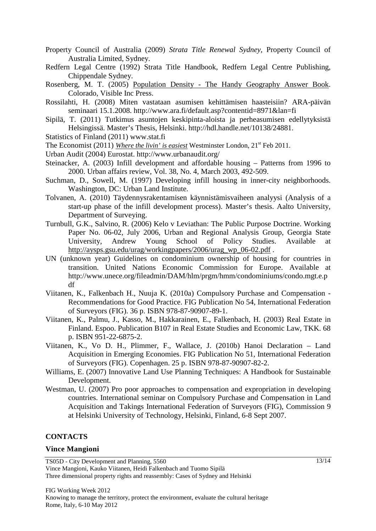- Property Council of Australia (2009) *Strata Title Renewal Sydney*, Property Council of Australia Limited, Sydney.
- Redfern Legal Centre (1992) Strata Title Handbook, Redfern Legal Centre Publishing, Chippendale Sydney.
- Rosenberg, M. T. (2005) Population Density The Handy Geography Answer Book. Colorado, Visible Inc Press.
- Rossilahti, H. (2008) Miten vastataan asumisen kehittämisen haasteisiin? ARA-päivän seminaari 15.1.2008. http://www.ara.fi/default.asp?contentid=8971&lan=fi
- Sipilä, T. (2011) Tutkimus asuntojen keskipinta-aloista ja perheasumisen edellytyksistä Helsingissä. Master's Thesis, Helsinki. http://hdl.handle.net/10138/24881.
- Statistics of Finland (2011) www.stat.fi
- The Economist (2011) *Where the livin' is easiest* Westminster London, 21<sup>st</sup> Feb 2011.
- Urban Audit (2004) Eurostat. http://www.urbanaudit.org/
- Steinacker, A. (2003) Infill development and affordable housing Patterns from 1996 to 2000. Urban affairs review, Vol. 38, No. 4, March 2003, 492-509.
- Suchman, D., Sowell, M. (1997) Developing infill housing in inner-city neighborhoods. Washington, DC: Urban Land Institute.
- Tolvanen, A. (2010) Täydennysrakentamisen käynnistämisvaiheen analyysi (Analysis of a start-up phase of the infill development process). Master's thesis. Aalto University, Department of Surveying.
- Turnbull, G.K., Salvino, R. (2006) Kelo v Leviathan: The Public Purpose Doctrine. Working Paper No. 06-02, July 2006, Urban and Regional Analysis Group, Georgia State University, Andrew Young School of Policy Studies. Available at http://aysps.gsu.edu/urag/workingpapers/2006/urag\_wp\_06-02.pdf .
- UN (unknown year) Guidelines on condominium ownership of housing for countries in transition. United Nations Economic Commission for Europe. Available at http://www.unece.org/fileadmin/DAM/hlm/prgm/hmm/condominiums/condo.mgt.e.p df
- Viitanen, K., Falkenbach H., Nuuja K. (2010a) Compulsory Purchase and Compensation Recommendations for Good Practice. FIG Publication No 54, International Federation of Surveyors (FIG). 36 p. ISBN 978-87-90907-89-1.
- Viitanen, K., Palmu, J., Kasso, M., Hakkarainen, E., Falkenbach, H. (2003) Real Estate in Finland. Espoo. Publication B107 in Real Estate Studies and Economic Law, TKK. 68 p. ISBN 951-22-6875-2.
- Viitanen, K., Vo D. H., Plimmer, F., Wallace, J. (2010b) Hanoi Declaration Land Acquisition in Emerging Economies. FIG Publication No 51, International Federation of Surveyors (FIG). Copenhagen. 25 p. ISBN 978-87-90907-82-2.
- Williams, E. (2007) Innovative Land Use Planning Techniques: A Handbook for Sustainable Development.
- Westman, U. (2007) Pro poor approaches to compensation and expropriation in developing countries. International seminar on Compulsory Purchase and Compensation in Land Acquisition and Takings International Federation of Surveyors (FIG), Commission 9 at Helsinki University of Technology, Helsinki, Finland, 6-8 Sept 2007.

#### **CONTACTS**

#### **Vince Mangioni**